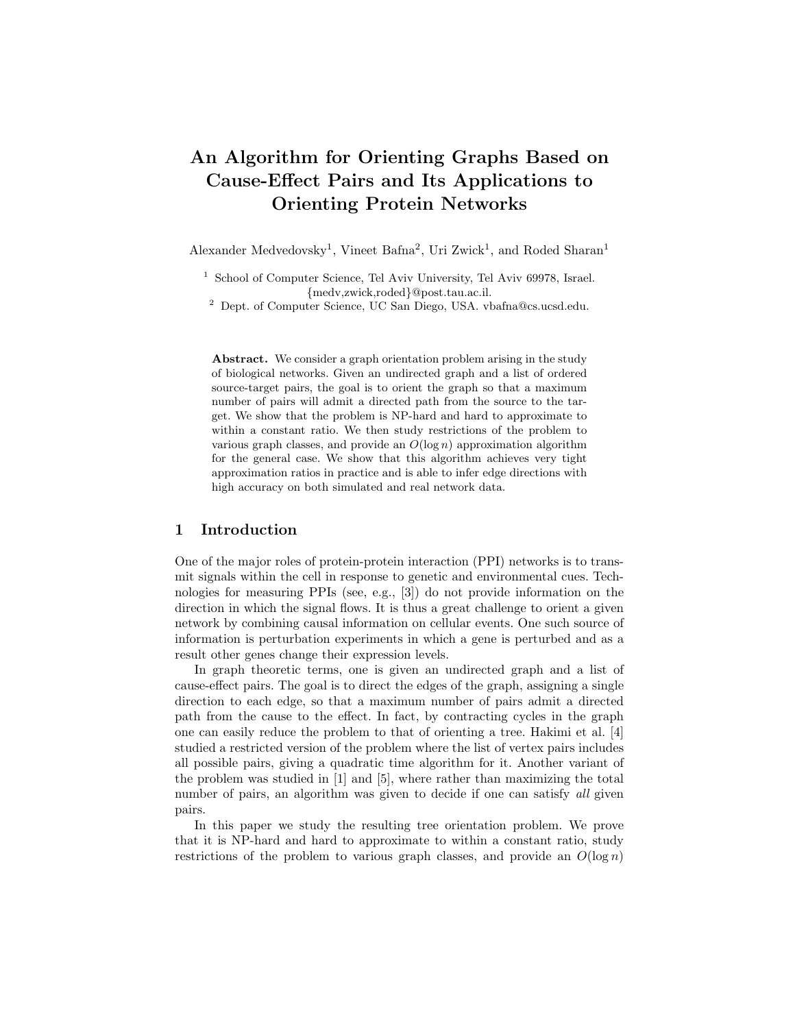# An Algorithm for Orienting Graphs Based on Cause-Effect Pairs and Its Applications to Orienting Protein Networks

Alexander Medvedovsky<sup>1</sup>, Vineet Bafna<sup>2</sup>, Uri Zwick<sup>1</sup>, and Roded Sharan<sup>1</sup>

<sup>1</sup> School of Computer Science, Tel Aviv University, Tel Aviv 69978, Israel. {medv,zwick,roded}@post.tau.ac.il.

<sup>2</sup> Dept. of Computer Science, UC San Diego, USA. vbafna@cs.ucsd.edu.

Abstract. We consider a graph orientation problem arising in the study of biological networks. Given an undirected graph and a list of ordered source-target pairs, the goal is to orient the graph so that a maximum number of pairs will admit a directed path from the source to the target. We show that the problem is NP-hard and hard to approximate to within a constant ratio. We then study restrictions of the problem to various graph classes, and provide an  $O(\log n)$  approximation algorithm for the general case. We show that this algorithm achieves very tight approximation ratios in practice and is able to infer edge directions with high accuracy on both simulated and real network data.

# 1 Introduction

One of the major roles of protein-protein interaction (PPI) networks is to transmit signals within the cell in response to genetic and environmental cues. Technologies for measuring PPIs (see, e.g., [3]) do not provide information on the direction in which the signal flows. It is thus a great challenge to orient a given network by combining causal information on cellular events. One such source of information is perturbation experiments in which a gene is perturbed and as a result other genes change their expression levels.

In graph theoretic terms, one is given an undirected graph and a list of cause-effect pairs. The goal is to direct the edges of the graph, assigning a single direction to each edge, so that a maximum number of pairs admit a directed path from the cause to the effect. In fact, by contracting cycles in the graph one can easily reduce the problem to that of orienting a tree. Hakimi et al. [4] studied a restricted version of the problem where the list of vertex pairs includes all possible pairs, giving a quadratic time algorithm for it. Another variant of the problem was studied in [1] and [5], where rather than maximizing the total number of pairs, an algorithm was given to decide if one can satisfy all given pairs.

In this paper we study the resulting tree orientation problem. We prove that it is NP-hard and hard to approximate to within a constant ratio, study restrictions of the problem to various graph classes, and provide an  $O(\log n)$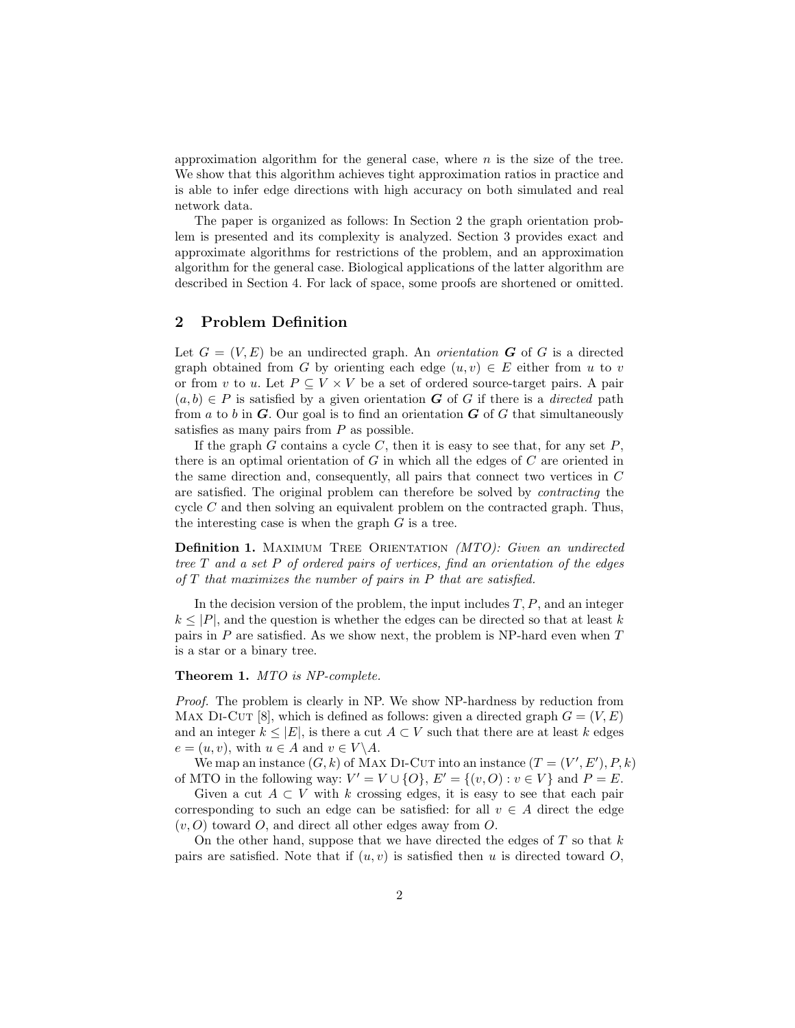approximation algorithm for the general case, where  $n$  is the size of the tree. We show that this algorithm achieves tight approximation ratios in practice and is able to infer edge directions with high accuracy on both simulated and real network data.

The paper is organized as follows: In Section 2 the graph orientation problem is presented and its complexity is analyzed. Section 3 provides exact and approximate algorithms for restrictions of the problem, and an approximation algorithm for the general case. Biological applications of the latter algorithm are described in Section 4. For lack of space, some proofs are shortened or omitted.

# 2 Problem Definition

Let  $G = (V, E)$  be an undirected graph. An *orientation* **G** of G is a directed graph obtained from G by orienting each edge  $(u, v) \in E$  either from u to v or from v to u. Let  $P \subseteq V \times V$  be a set of ordered source-target pairs. A pair  $(a, b) \in P$  is satisfied by a given orientation G of G if there is a *directed* path from a to b in  $G$ . Our goal is to find an orientation  $G$  of  $G$  that simultaneously satisfies as many pairs from  $P$  as possible.

If the graph G contains a cycle C, then it is easy to see that, for any set  $P$ , there is an optimal orientation of  $G$  in which all the edges of  $C$  are oriented in the same direction and, consequently, all pairs that connect two vertices in C are satisfied. The original problem can therefore be solved by contracting the cycle  $C$  and then solving an equivalent problem on the contracted graph. Thus, the interesting case is when the graph  $G$  is a tree.

Definition 1. MAXIMUM TREE ORIENTATION (MTO): Given an undirected tree  $T$  and a set  $P$  of ordered pairs of vertices, find an orientation of the edges of  $T$  that maximizes the number of pairs in  $P$  that are satisfied.

In the decision version of the problem, the input includes  $T, P$ , and an integer  $k \leq |P|$ , and the question is whether the edges can be directed so that at least k pairs in  $P$  are satisfied. As we show next, the problem is NP-hard even when  $T$ is a star or a binary tree.

#### Theorem 1. MTO is NP-complete.

Proof. The problem is clearly in NP. We show NP-hardness by reduction from MAX DI-CUT [8], which is defined as follows: given a directed graph  $G = (V, E)$ and an integer  $k \leq |E|$ , is there a cut  $A \subset V$  such that there are at least k edges  $e = (u, v)$ , with  $u \in A$  and  $v \in V \backslash A$ .

We map an instance  $(G, k)$  of MAX DI-CUT into an instance  $(T = (V', E'), P, k)$ of MTO in the following way:  $V' = V \cup \{O\}$ ,  $E' = \{(v, O) : v \in V\}$  and  $P = E$ .

Given a cut  $A \subset V$  with k crossing edges, it is easy to see that each pair corresponding to such an edge can be satisfied: for all  $v \in A$  direct the edge  $(v, O)$  toward O, and direct all other edges away from O.

On the other hand, suppose that we have directed the edges of  $T$  so that  $k$ pairs are satisfied. Note that if  $(u, v)$  is satisfied then u is directed toward O,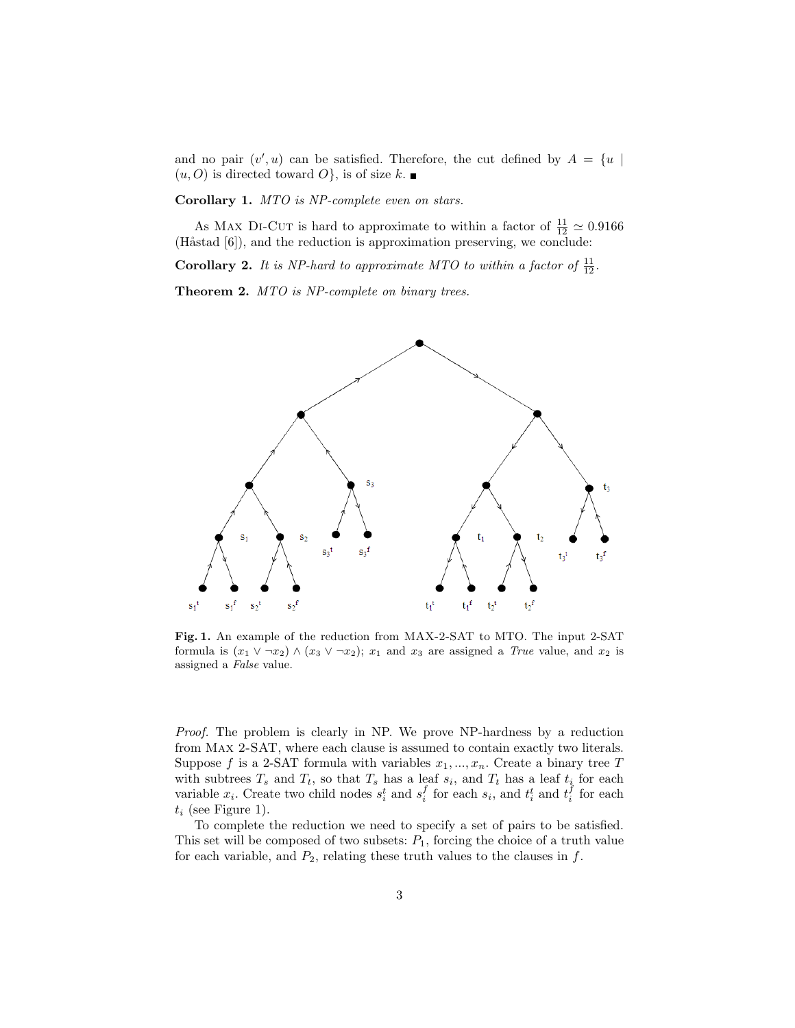and no pair  $(v', u)$  can be satisfied. Therefore, the cut defined by  $A = \{u \mid$  $(u, O)$  is directed toward  $O$ , is of size k.

Corollary 1. MTO is NP-complete even on stars.

As MAX DI-CUT is hard to approximate to within a factor of  $\frac{11}{12} \simeq 0.9166$ (Håstad  $[6]$ ), and the reduction is approximation preserving, we conclude:

**Corollary 2.** It is NP-hard to approximate MTO to within a factor of  $\frac{11}{12}$ .

Theorem 2. MTO is NP-complete on binary trees.



Fig. 1. An example of the reduction from MAX-2-SAT to MTO. The input 2-SAT formula is  $(x_1 \vee \neg x_2) \wedge (x_3 \vee \neg x_2); x_1$  and  $x_3$  are assigned a *True* value, and  $x_2$  is assigned a False value.

Proof. The problem is clearly in NP. We prove NP-hardness by a reduction from Max 2-SAT, where each clause is assumed to contain exactly two literals. Suppose f is a 2-SAT formula with variables  $x_1, ..., x_n$ . Create a binary tree T with subtrees  $T_s$  and  $T_t$ , so that  $T_s$  has a leaf  $s_i$ , and  $T_t$  has a leaf  $t_i$  for each variable  $x_i$ . Create two child nodes  $s_i^t$  and  $s_i^f$  for each  $s_i$ , and  $t_i^t$  and  $t_i^f$  for each  $t_i$  (see Figure 1).

To complete the reduction we need to specify a set of pairs to be satisfied. This set will be composed of two subsets:  $P_1$ , forcing the choice of a truth value for each variable, and  $P_2$ , relating these truth values to the clauses in  $f$ .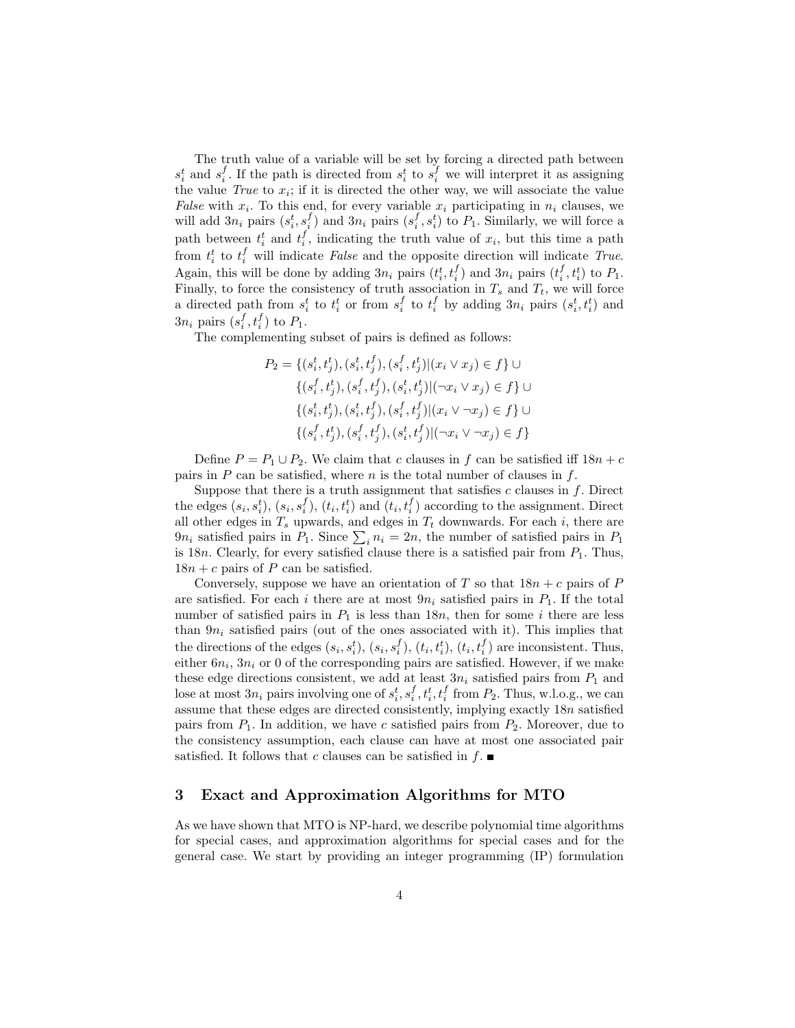The truth value of a variable will be set by forcing a directed path between  $s_i^t$  and  $s_i^f$ . If the path is directed from  $s_i^t$  to  $s_i^f$  we will interpret it as assigning the value  $True$  to  $x_i$ ; if it is directed the other way, we will associate the value False with  $x_i$ . To this end, for every variable  $x_i$  participating in  $n_i$  clauses, we will add  $3n_i$  pairs  $(s_i^f, s_i^f)$  and  $3n_i$  pairs  $(s_i^f, s_i^t)$  to  $P_1$ . Similarly, we will force a path between  $t_i^t$  and  $t_i^f$ , indicating the truth value of  $x_i$ , but this time a path from  $t_i^t$  to  $t_i^f$  will indicate *False* and the opposite direction will indicate *True*. Again, this will be done by adding  $3n_i$  pairs  $(t_i^t, t_i^f)$  and  $3n_i$  pairs  $(t_i^f, t_i^t)$  to  $P_1$ . Finally, to force the consistency of truth association in  $T_s$  and  $T_t$ , we will force a directed path from  $s_i^t$  to  $t_i^t$  or from  $s_i^f$  to  $t_i^f$  by adding  $3n_i$  pairs  $(s_i^t, t_i^t)$  and  $3n_i$  pairs  $(s_i^f, t_i^f)$  to  $P_1$ .

The complementing subset of pairs is defined as follows:

$$
P_2 = \{ (s_i^t, t_j^t), (s_i^t, t_j^f), (s_i^f, t_j^t) | (x_i \vee x_j) \in f \} \cup \{ (s_i^f, t_j^t), (s_i^f, t_j^f), (s_i^t, t_j^t) | (\neg x_i \vee x_j) \in f \} \cup \{ (s_i^t, t_j^t), (s_i^t, t_j^f), (s_i^f, t_j^f) | (x_i \vee \neg x_j) \in f \} \cup \{ (s_i^f, t_j^t), (s_i^f, t_j^f), (s_i^t, t_j^f) | (\neg x_i \vee \neg x_j) \in f \}
$$

Define  $P = P_1 \cup P_2$ . We claim that c clauses in f can be satisfied iff  $18n + c$ pairs in  $P$  can be satisfied, where  $n$  is the total number of clauses in  $f$ .

Suppose that there is a truth assignment that satisfies  $c$  clauses in  $f$ . Direct the edges  $(s_i, s_i^t)$ ,  $(s_i, s_i^f)$ ,  $(t_i, t_i^t)$  and  $(t_i, t_i^f)$  according to the assignment. Direct all other edges in  $T_s$  upwards, and edges in  $T_t$  downwards. For each i, there are  $9n_i$  satisfied pairs in  $P_1$ . Since  $\sum_i n_i = 2n$ , the number of satisfied pairs in  $P_1$ is 18n. Clearly, for every satisfied clause there is a satisfied pair from  $P_1$ . Thus,  $18n + c$  pairs of P can be satisfied.

Conversely, suppose we have an orientation of T so that  $18n + c$  pairs of P are satisfied. For each i there are at most  $9n_i$  satisfied pairs in  $P_1$ . If the total number of satisfied pairs in  $P_1$  is less than 18n, then for some i there are less than  $9n_i$  satisfied pairs (out of the ones associated with it). This implies that the directions of the edges  $(s_i, s_i^t)$ ,  $(s_i, s_i^f)$ ,  $(t_i, t_i^t)$ ,  $(t_i, t_i^f)$  are inconsistent. Thus, either  $6n_i$ ,  $3n_i$  or 0 of the corresponding pairs are satisfied. However, if we make these edge directions consistent, we add at least  $3n_i$  satisfied pairs from  $P_1$  and lose at most  $3n_i$  pairs involving one of  $s_i^t, s_i^f, t_i^t, t_i^f$  from  $P_2$ . Thus, w.l.o.g., we can assume that these edges are directed consistently, implying exactly  $18n$  satisfied pairs from  $P_1$ . In addition, we have c satisfied pairs from  $P_2$ . Moreover, due to the consistency assumption, each clause can have at most one associated pair satisfied. It follows that c clauses can be satisfied in  $f$ .

# 3 Exact and Approximation Algorithms for MTO

As we have shown that MTO is NP-hard, we describe polynomial time algorithms for special cases, and approximation algorithms for special cases and for the general case. We start by providing an integer programming (IP) formulation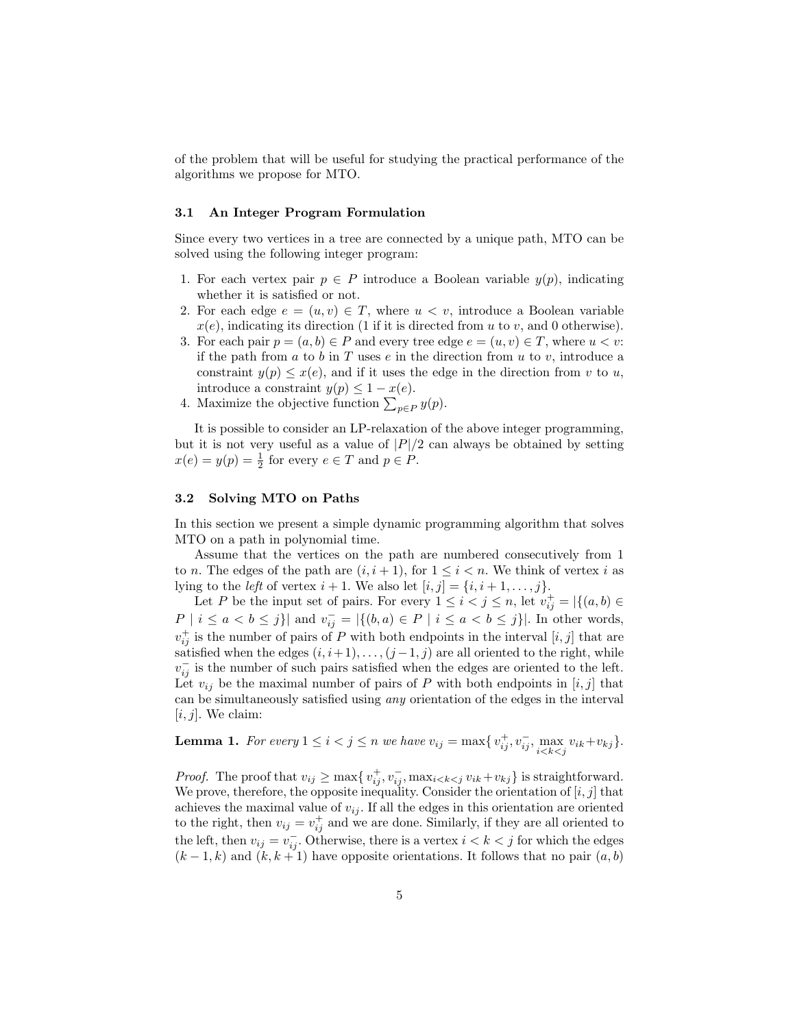of the problem that will be useful for studying the practical performance of the algorithms we propose for MTO.

## 3.1 An Integer Program Formulation

Since every two vertices in a tree are connected by a unique path, MTO can be solved using the following integer program:

- 1. For each vertex pair  $p \in P$  introduce a Boolean variable  $y(p)$ , indicating whether it is satisfied or not.
- 2. For each edge  $e = (u, v) \in T$ , where  $u < v$ , introduce a Boolean variable  $x(e)$ , indicating its direction (1 if it is directed from u to v, and 0 otherwise).
- 3. For each pair  $p = (a, b) \in P$  and every tree edge  $e = (u, v) \in T$ , where  $u < v$ : if the path from  $a$  to  $b$  in  $T$  uses  $e$  in the direction from  $u$  to  $v$ , introduce a constraint  $y(p) \leq x(e)$ , and if it uses the edge in the direction from v to u, introduce a constraint  $y(p) \leq 1 - x(e)$ .
- 4. Maximize the objective function  $\sum_{p \in P} y(p)$ .

It is possible to consider an LP-relaxation of the above integer programming, but it is not very useful as a value of  $|P|/2$  can always be obtained by setting  $x(e) = y(p) = \frac{1}{2}$  for every  $e \in T$  and  $p \in P$ .

#### 3.2 Solving MTO on Paths

In this section we present a simple dynamic programming algorithm that solves MTO on a path in polynomial time.

Assume that the vertices on the path are numbered consecutively from 1 to n. The edges of the path are  $(i, i + 1)$ , for  $1 \leq i < n$ . We think of vertex i as lying to the *left* of vertex  $i + 1$ . We also let  $[i, j] = \{i, i + 1, \ldots, j\}$ .

Let P be the input set of pairs. For every  $1 \leq i < j \leq n$ , let  $v_{ij}^+ = |\{(a, b) \in$  $P \mid i \leq a < b \leq j$ } and  $v_{ij}^- = |\{(b, a) \in P \mid i \leq a < b \leq j\}|$ . In other words,  $v_{ij}^{\dagger}$  is the number of pairs of P with both endpoints in the interval  $[i, j]$  that are satisfied when the edges  $(i, i+1), \ldots, (j-1, j)$  are all oriented to the right, while  $v_{ij}^-$  is the number of such pairs satisfied when the edges are oriented to the left. Let  $v_{ij}$  be the maximal number of pairs of P with both endpoints in [i, j] that can be simultaneously satisfied using any orientation of the edges in the interval  $[i, j]$ . We claim:

**Lemma 1.** For every  $1 \leq i < j \leq n$  we have  $v_{ij} = \max\{v_{ij}^+, v_{ij}^-, \max_{i < k < j} v_{ik} + v_{kj}\}.$ 

*Proof.* The proof that  $v_{ij} \ge \max\{v_{ij}^+, v_{ij}^-, \max_{i \le k \le j} v_{ik} + v_{kj}\}$  is straightforward. We prove, therefore, the opposite inequality. Consider the orientation of  $[i, j]$  that achieves the maximal value of  $v_{ij}$ . If all the edges in this orientation are oriented to the right, then  $v_{ij} = v_{ij}^+$  and we are done. Similarly, if they are all oriented to the left, then  $v_{ij} = v_{ij}^-$ . Otherwise, there is a vertex  $i < k < j$  for which the edges  $(k-1,k)$  and  $(k, k+1)$  have opposite orientations. It follows that no pair  $(a, b)$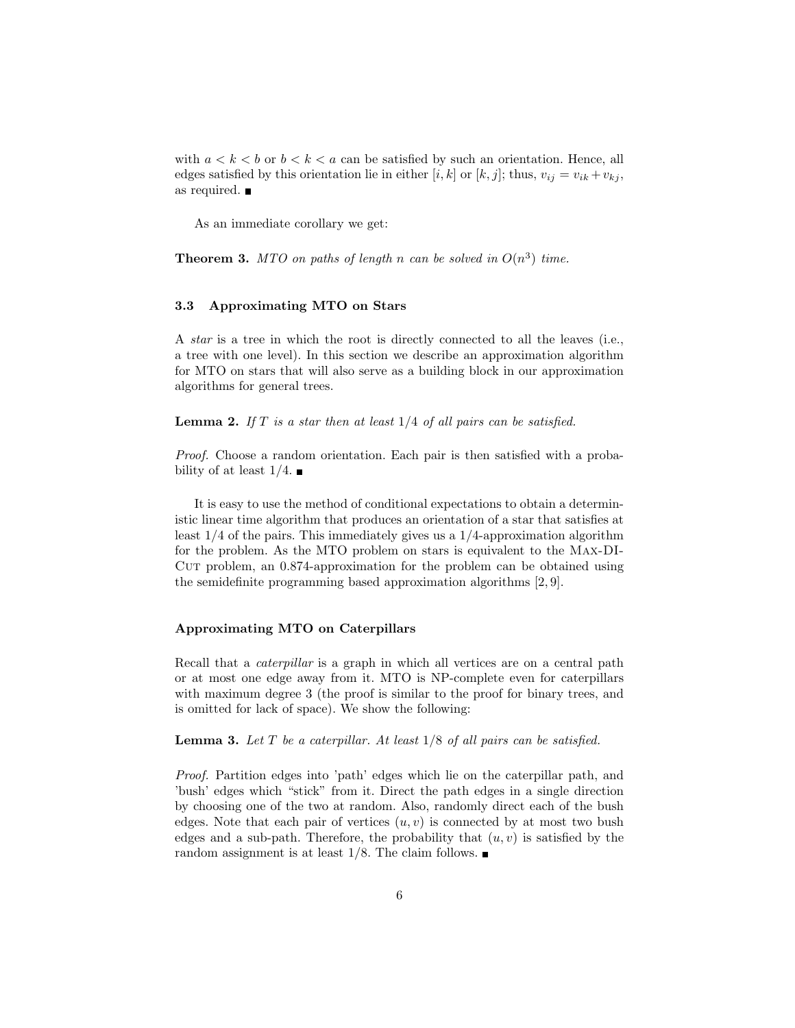with  $a < k < b$  or  $b < k < a$  can be satisfied by such an orientation. Hence, all edges satisfied by this orientation lie in either [i, k] or [k, j]; thus,  $v_{ij} = v_{ik} + v_{kj}$ , as required.

As an immediate corollary we get:

**Theorem 3.** MTO on paths of length n can be solved in  $O(n^3)$  time.

## 3.3 Approximating MTO on Stars

A star is a tree in which the root is directly connected to all the leaves (i.e., a tree with one level). In this section we describe an approximation algorithm for MTO on stars that will also serve as a building block in our approximation algorithms for general trees.

**Lemma 2.** If  $T$  is a star then at least  $1/4$  of all pairs can be satisfied.

Proof. Choose a random orientation. Each pair is then satisfied with a probability of at least  $1/4$ .

It is easy to use the method of conditional expectations to obtain a deterministic linear time algorithm that produces an orientation of a star that satisfies at least 1/4 of the pairs. This immediately gives us a 1/4-approximation algorithm for the problem. As the MTO problem on stars is equivalent to the Max-DI-Cut problem, an 0.874-approximation for the problem can be obtained using the semidefinite programming based approximation algorithms [2, 9].

## Approximating MTO on Caterpillars

Recall that a *caterpillar* is a graph in which all vertices are on a central path or at most one edge away from it. MTO is NP-complete even for caterpillars with maximum degree 3 (the proof is similar to the proof for binary trees, and is omitted for lack of space). We show the following:

**Lemma 3.** Let  $T$  be a caterpillar. At least  $1/8$  of all pairs can be satisfied.

Proof. Partition edges into 'path' edges which lie on the caterpillar path, and 'bush' edges which "stick" from it. Direct the path edges in a single direction by choosing one of the two at random. Also, randomly direct each of the bush edges. Note that each pair of vertices  $(u, v)$  is connected by at most two bush edges and a sub-path. Therefore, the probability that  $(u, v)$  is satisfied by the random assignment is at least  $1/8$ . The claim follows.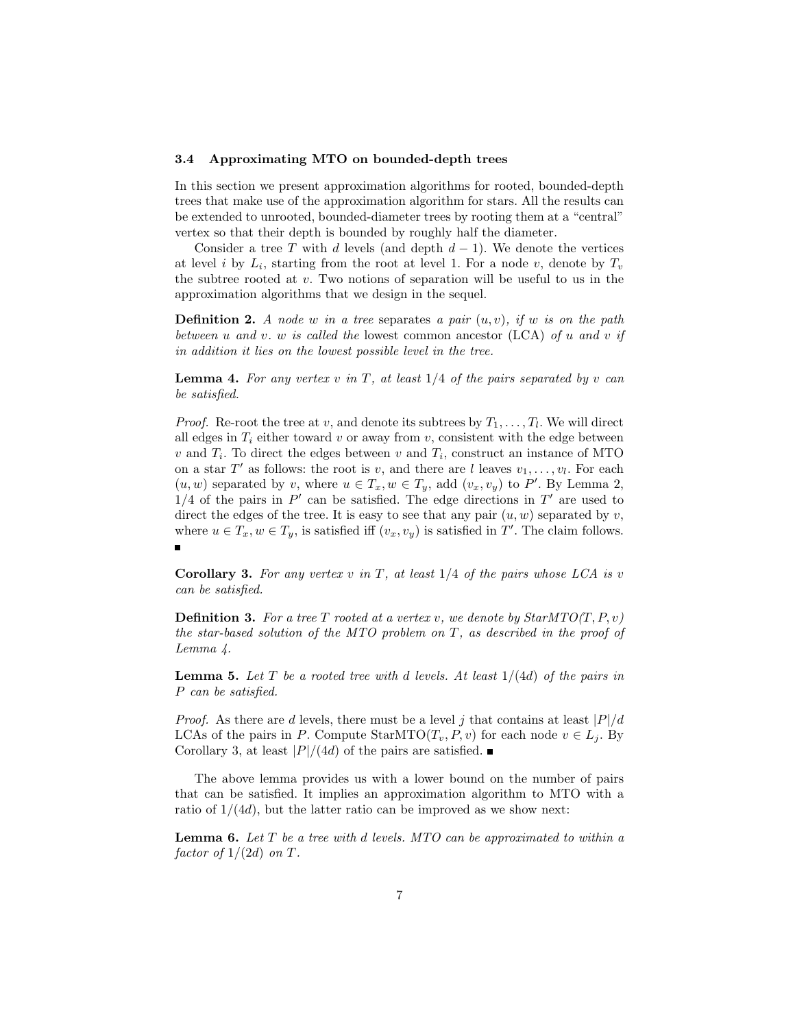#### 3.4 Approximating MTO on bounded-depth trees

In this section we present approximation algorithms for rooted, bounded-depth trees that make use of the approximation algorithm for stars. All the results can be extended to unrooted, bounded-diameter trees by rooting them at a "central" vertex so that their depth is bounded by roughly half the diameter.

Consider a tree T with d levels (and depth  $d-1$ ). We denote the vertices at level *i* by  $L_i$ , starting from the root at level 1. For a node *v*, denote by  $T_v$ the subtree rooted at  $v$ . Two notions of separation will be useful to us in the approximation algorithms that we design in the sequel.

**Definition 2.** A node w in a tree separates a pair  $(u, v)$ , if w is on the path between u and v. w is called the lowest common ancestor (LCA) of u and v if in addition it lies on the lowest possible level in the tree.

**Lemma 4.** For any vertex v in T, at least  $1/4$  of the pairs separated by v can be satisfied.

*Proof.* Re-root the tree at v, and denote its subtrees by  $T_1, \ldots, T_l$ . We will direct all edges in  $T_i$  either toward v or away from v, consistent with the edge between  $v$  and  $T_i$ . To direct the edges between  $v$  and  $T_i$ , construct an instance of MTO on a star  $T'$  as follows: the root is v, and there are l leaves  $v_1, \ldots, v_l$ . For each  $(u, w)$  separated by v, where  $u \in T_x, w \in T_y$ , add  $(v_x, v_y)$  to P'. By Lemma 2,  $1/4$  of the pairs in  $P'$  can be satisfied. The edge directions in  $T'$  are used to direct the edges of the tree. It is easy to see that any pair  $(u, w)$  separated by v, where  $u \in T_x, w \in T_y$ , is satisfied iff  $(v_x, v_y)$  is satisfied in T'. The claim follows.

**Corollary 3.** For any vertex v in T, at least  $1/4$  of the pairs whose LCA is v can be satisfied.

**Definition 3.** For a tree T rooted at a vertex v, we denote by  $StarMTO(T, P, v)$ the star-based solution of the MTO problem on  $T$ , as described in the proof of Lemma 4.

**Lemma 5.** Let T be a rooted tree with d levels. At least  $1/(4d)$  of the pairs in P can be satisfied.

*Proof.* As there are d levels, there must be a level j that contains at least  $|P|/d$ LCAs of the pairs in P. Compute StarMTO( $T_v, P, v$ ) for each node  $v \in L_i$ . By Corollary 3, at least  $|P|/(4d)$  of the pairs are satisfied.

The above lemma provides us with a lower bound on the number of pairs that can be satisfied. It implies an approximation algorithm to MTO with a ratio of  $1/(4d)$ , but the latter ratio can be improved as we show next:

**Lemma 6.** Let  $T$  be a tree with d levels. MTO can be approximated to within a factor of  $1/(2d)$  on T.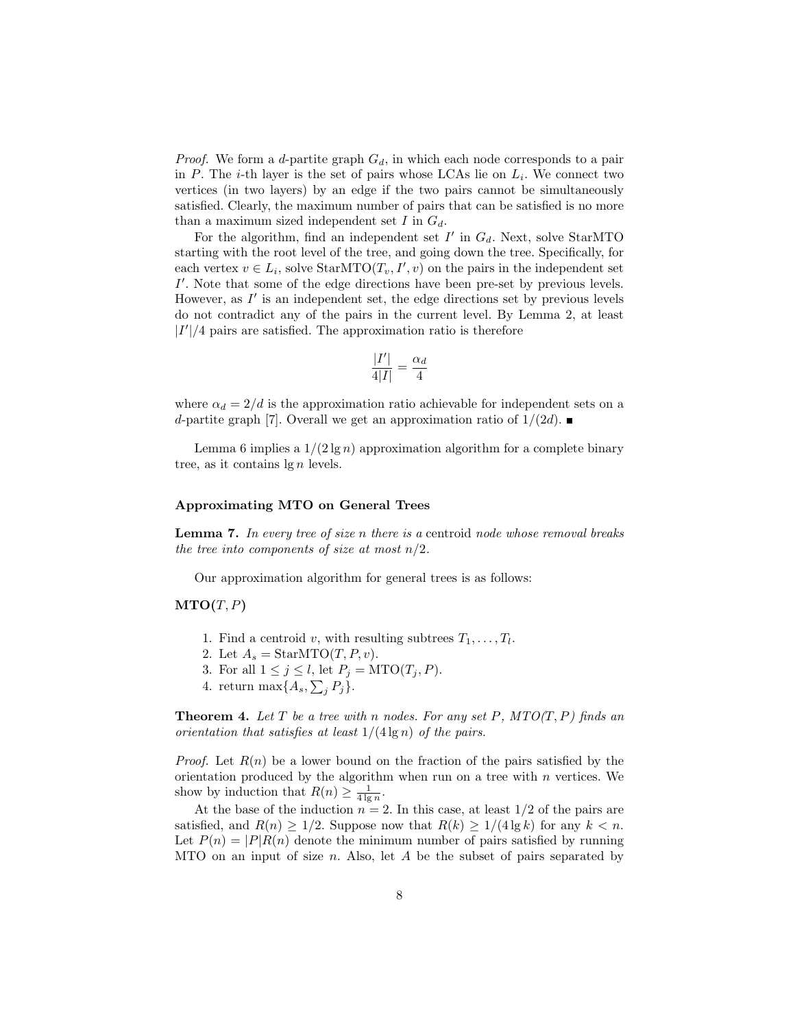*Proof.* We form a d-partite graph  $G_d$ , in which each node corresponds to a pair in  $P$ . The *i*-th layer is the set of pairs whose LCAs lie on  $L_i$ . We connect two vertices (in two layers) by an edge if the two pairs cannot be simultaneously satisfied. Clearly, the maximum number of pairs that can be satisfied is no more than a maximum sized independent set  $I$  in  $G_d$ .

For the algorithm, find an independent set  $I'$  in  $G_d$ . Next, solve StarMTO starting with the root level of the tree, and going down the tree. Specifically, for each vertex  $v \in L_i$ , solve StarMTO $(T_v, I', v)$  on the pairs in the independent set I'. Note that some of the edge directions have been pre-set by previous levels. However, as  $I'$  is an independent set, the edge directions set by previous levels do not contradict any of the pairs in the current level. By Lemma 2, at least  $|I'|/4$  pairs are satisfied. The approximation ratio is therefore

$$
\frac{|I'|}{4|I|} = \frac{\alpha_d}{4}
$$

where  $\alpha_d = 2/d$  is the approximation ratio achievable for independent sets on a d-partite graph [7]. Overall we get an approximation ratio of  $1/(2d)$ .

Lemma 6 implies a  $1/(2 \lg n)$  approximation algorithm for a complete binary tree, as it contains  $\lg n$  levels.

## Approximating MTO on General Trees

**Lemma 7.** In every tree of size n there is a centroid node whose removal breaks the tree into components of size at most  $n/2$ .

Our approximation algorithm for general trees is as follows:

## $MTO(T, P)$

- 1. Find a centroid v, with resulting subtrees  $T_1, \ldots, T_l$ .
- 2. Let  $A_s = \text{StarMTO}(T, P, v)$ .
- 3. For all  $1 \leq j \leq l$ , let  $P_j = \text{MTO}(T_j, P)$ .
- 4. return max $\{A_s, \sum_j P_j\}.$

**Theorem 4.** Let T be a tree with n nodes. For any set P,  $MTO(T, P)$  finds an orientation that satisfies at least  $1/(4 \lg n)$  of the pairs.

*Proof.* Let  $R(n)$  be a lower bound on the fraction of the pairs satisfied by the orientation produced by the algorithm when run on a tree with  $n$  vertices. We show by induction that  $R(n) \geq \frac{1}{4 \lg n}$ .

At the base of the induction  $n = 2$ . In this case, at least  $1/2$  of the pairs are satisfied, and  $R(n) \geq 1/2$ . Suppose now that  $R(k) \geq 1/(4 \lg k)$  for any  $k < n$ . Let  $P(n) = |P|R(n)$  denote the minimum number of pairs satisfied by running MTO on an input of size  $n$ . Also, let  $A$  be the subset of pairs separated by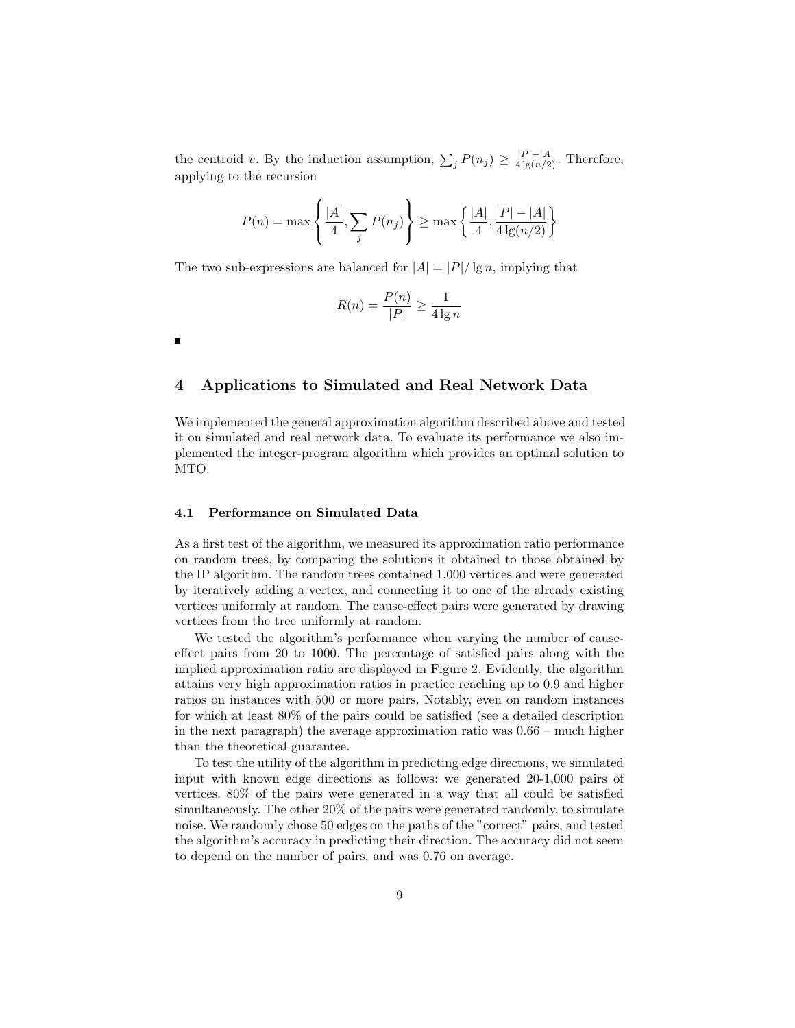the centroid v. By the induction assumption,  $\sum_j P(n_j) \geq \frac{|P| - |A|}{4 \lg(n/2)}$ . Therefore, applying to the recursion

$$
P(n) = \max\left\{\frac{|A|}{4}, \sum_{j} P(n_j)\right\} \ge \max\left\{\frac{|A|}{4}, \frac{|P| - |A|}{4 \lg(n/2)}\right\}
$$

The two sub-expressions are balanced for  $|A| = |P| / \lg n$ , implying that

$$
R(n) = \frac{P(n)}{|P|} \ge \frac{1}{4\lg n}
$$

# 4 Applications to Simulated and Real Network Data

We implemented the general approximation algorithm described above and tested it on simulated and real network data. To evaluate its performance we also implemented the integer-program algorithm which provides an optimal solution to MTO.

#### 4.1 Performance on Simulated Data

As a first test of the algorithm, we measured its approximation ratio performance on random trees, by comparing the solutions it obtained to those obtained by the IP algorithm. The random trees contained 1,000 vertices and were generated by iteratively adding a vertex, and connecting it to one of the already existing vertices uniformly at random. The cause-effect pairs were generated by drawing vertices from the tree uniformly at random.

We tested the algorithm's performance when varying the number of causeeffect pairs from 20 to 1000. The percentage of satisfied pairs along with the implied approximation ratio are displayed in Figure 2. Evidently, the algorithm attains very high approximation ratios in practice reaching up to 0.9 and higher ratios on instances with 500 or more pairs. Notably, even on random instances for which at least 80% of the pairs could be satisfied (see a detailed description in the next paragraph) the average approximation ratio was 0.66 – much higher than the theoretical guarantee.

To test the utility of the algorithm in predicting edge directions, we simulated input with known edge directions as follows: we generated 20-1,000 pairs of vertices. 80% of the pairs were generated in a way that all could be satisfied simultaneously. The other 20% of the pairs were generated randomly, to simulate noise. We randomly chose 50 edges on the paths of the "correct" pairs, and tested the algorithm's accuracy in predicting their direction. The accuracy did not seem to depend on the number of pairs, and was 0.76 on average.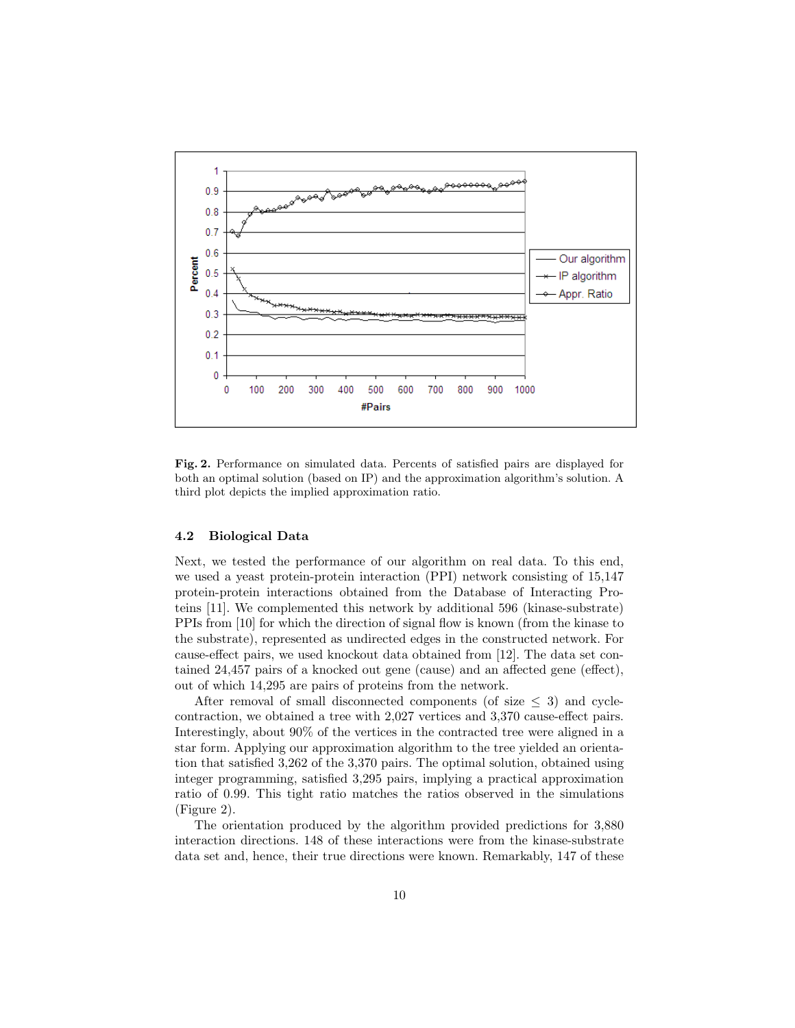

Fig. 2. Performance on simulated data. Percents of satisfied pairs are displayed for both an optimal solution (based on IP) and the approximation algorithm's solution. A third plot depicts the implied approximation ratio.

## 4.2 Biological Data

Next, we tested the performance of our algorithm on real data. To this end, we used a yeast protein-protein interaction (PPI) network consisting of 15,147 protein-protein interactions obtained from the Database of Interacting Proteins [11]. We complemented this network by additional 596 (kinase-substrate) PPIs from [10] for which the direction of signal flow is known (from the kinase to the substrate), represented as undirected edges in the constructed network. For cause-effect pairs, we used knockout data obtained from [12]. The data set contained 24,457 pairs of a knocked out gene (cause) and an affected gene (effect), out of which 14,295 are pairs of proteins from the network.

After removal of small disconnected components (of size  $\leq$  3) and cyclecontraction, we obtained a tree with 2,027 vertices and 3,370 cause-effect pairs. Interestingly, about 90% of the vertices in the contracted tree were aligned in a star form. Applying our approximation algorithm to the tree yielded an orientation that satisfied 3,262 of the 3,370 pairs. The optimal solution, obtained using integer programming, satisfied 3,295 pairs, implying a practical approximation ratio of 0.99. This tight ratio matches the ratios observed in the simulations (Figure 2).

The orientation produced by the algorithm provided predictions for 3,880 interaction directions. 148 of these interactions were from the kinase-substrate data set and, hence, their true directions were known. Remarkably, 147 of these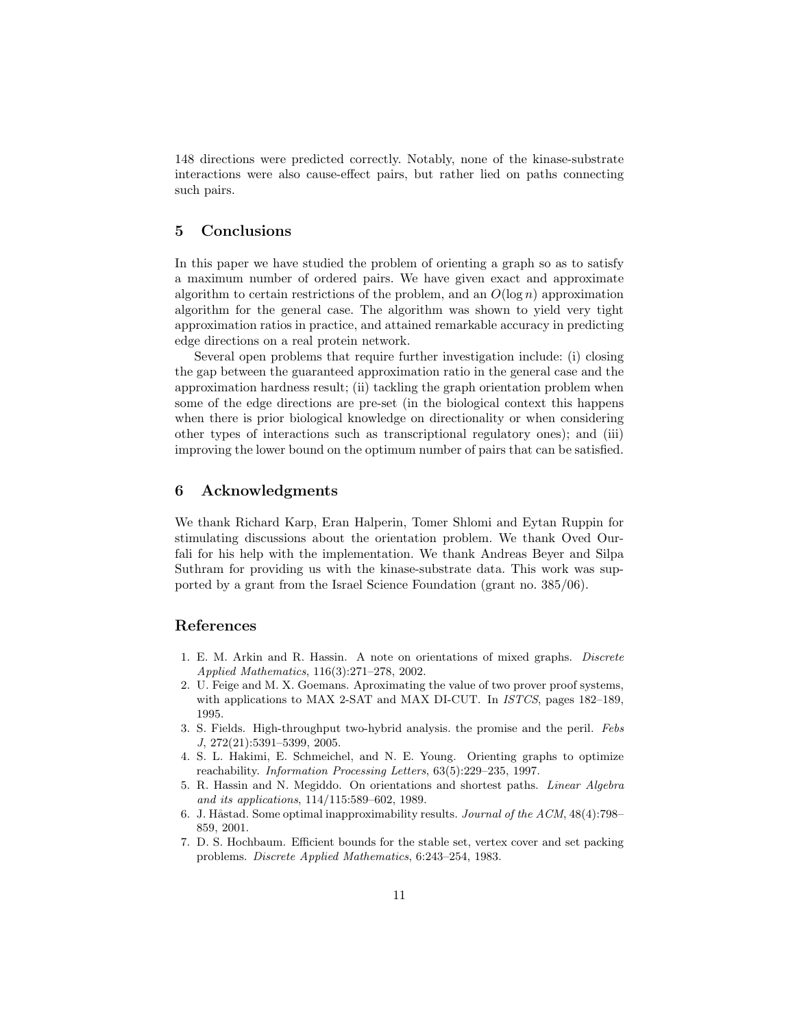148 directions were predicted correctly. Notably, none of the kinase-substrate interactions were also cause-effect pairs, but rather lied on paths connecting such pairs.

# 5 Conclusions

In this paper we have studied the problem of orienting a graph so as to satisfy a maximum number of ordered pairs. We have given exact and approximate algorithm to certain restrictions of the problem, and an  $O(\log n)$  approximation algorithm for the general case. The algorithm was shown to yield very tight approximation ratios in practice, and attained remarkable accuracy in predicting edge directions on a real protein network.

Several open problems that require further investigation include: (i) closing the gap between the guaranteed approximation ratio in the general case and the approximation hardness result; (ii) tackling the graph orientation problem when some of the edge directions are pre-set (in the biological context this happens when there is prior biological knowledge on directionality or when considering other types of interactions such as transcriptional regulatory ones); and (iii) improving the lower bound on the optimum number of pairs that can be satisfied.

# 6 Acknowledgments

We thank Richard Karp, Eran Halperin, Tomer Shlomi and Eytan Ruppin for stimulating discussions about the orientation problem. We thank Oved Ourfali for his help with the implementation. We thank Andreas Beyer and Silpa Suthram for providing us with the kinase-substrate data. This work was supported by a grant from the Israel Science Foundation (grant no. 385/06).

## References

- 1. E. M. Arkin and R. Hassin. A note on orientations of mixed graphs. Discrete Applied Mathematics, 116(3):271–278, 2002.
- 2. U. Feige and M. X. Goemans. Aproximating the value of two prover proof systems, with applications to MAX 2-SAT and MAX DI-CUT. In ISTCS, pages 182–189, 1995.
- 3. S. Fields. High-throughput two-hybrid analysis. the promise and the peril. Febs J, 272(21):5391–5399, 2005.
- 4. S. L. Hakimi, E. Schmeichel, and N. E. Young. Orienting graphs to optimize reachability. Information Processing Letters, 63(5):229–235, 1997.
- 5. R. Hassin and N. Megiddo. On orientations and shortest paths. Linear Algebra and its applications, 114/115:589–602, 1989.
- 6. J. Håstad. Some optimal inapproximability results. Journal of the  $ACM$ ,  $48(4)$ :798– 859, 2001.
- 7. D. S. Hochbaum. Efficient bounds for the stable set, vertex cover and set packing problems. Discrete Applied Mathematics, 6:243–254, 1983.